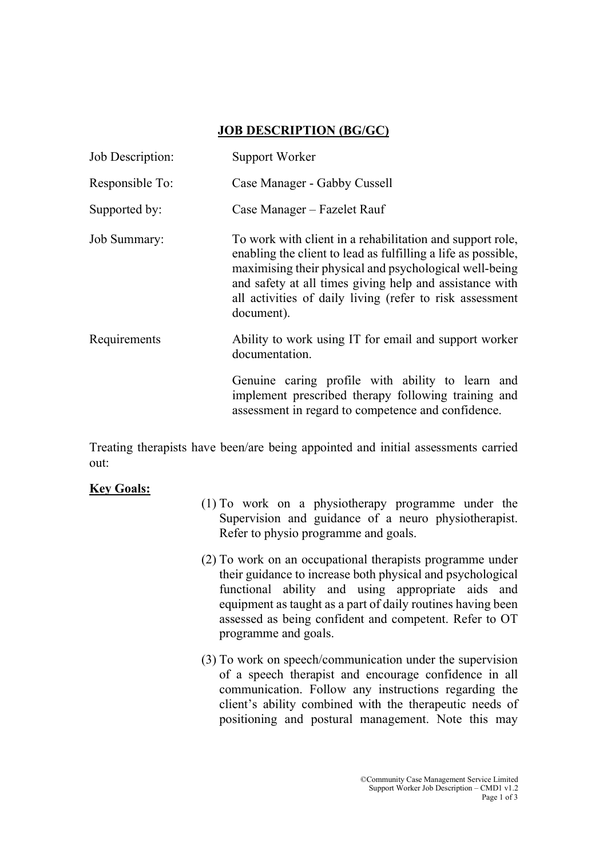## JOB DESCRIPTION (BG/GC)

| Job Description: | Support Worker                                                                                                                                                                                                                                                                                                            |
|------------------|---------------------------------------------------------------------------------------------------------------------------------------------------------------------------------------------------------------------------------------------------------------------------------------------------------------------------|
| Responsible To:  | Case Manager - Gabby Cussell                                                                                                                                                                                                                                                                                              |
| Supported by:    | Case Manager – Fazelet Rauf                                                                                                                                                                                                                                                                                               |
| Job Summary:     | To work with client in a rehabilitation and support role,<br>enabling the client to lead as fulfilling a life as possible,<br>maximising their physical and psychological well-being<br>and safety at all times giving help and assistance with<br>all activities of daily living (refer to risk assessment<br>document). |
| Requirements     | Ability to work using IT for email and support worker<br>documentation.                                                                                                                                                                                                                                                   |
|                  | Genuine caring profile with ability to learn and<br>implement prescribed therapy following training and<br>assessment in regard to competence and confidence.                                                                                                                                                             |

Treating therapists have been/are being appointed and initial assessments carried out:

## Key Goals:

- (1) To work on a physiotherapy programme under the Supervision and guidance of a neuro physiotherapist. Refer to physio programme and goals.
- (2) To work on an occupational therapists programme under their guidance to increase both physical and psychological functional ability and using appropriate aids and equipment as taught as a part of daily routines having been assessed as being confident and competent. Refer to OT programme and goals.
- (3) To work on speech/communication under the supervision of a speech therapist and encourage confidence in all communication. Follow any instructions regarding the client's ability combined with the therapeutic needs of positioning and postural management. Note this may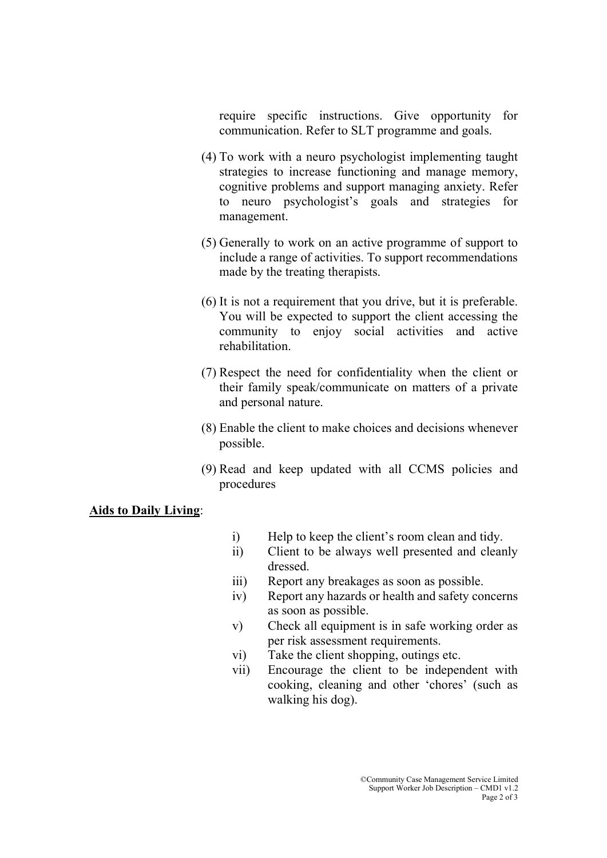require specific instructions. Give opportunity for communication. Refer to SLT programme and goals.

- (4) To work with a neuro psychologist implementing taught strategies to increase functioning and manage memory, cognitive problems and support managing anxiety. Refer to neuro psychologist's goals and strategies for management.
- (5) Generally to work on an active programme of support to include a range of activities. To support recommendations made by the treating therapists.
- (6) It is not a requirement that you drive, but it is preferable. You will be expected to support the client accessing the community to enjoy social activities and active rehabilitation.
- (7) Respect the need for confidentiality when the client or their family speak/communicate on matters of a private and personal nature.
- (8) Enable the client to make choices and decisions whenever possible.
- (9) Read and keep updated with all CCMS policies and procedures

## Aids to Daily Living: Ξ

- i) Help to keep the client's room clean and tidy.
- ii) Client to be always well presented and cleanly dressed.
- iii) Report any breakages as soon as possible.
- iv) Report any hazards or health and safety concerns as soon as possible.
- v) Check all equipment is in safe working order as per risk assessment requirements.
- vi) Take the client shopping, outings etc.
- vii) Encourage the client to be independent with cooking, cleaning and other 'chores' (such as walking his dog).